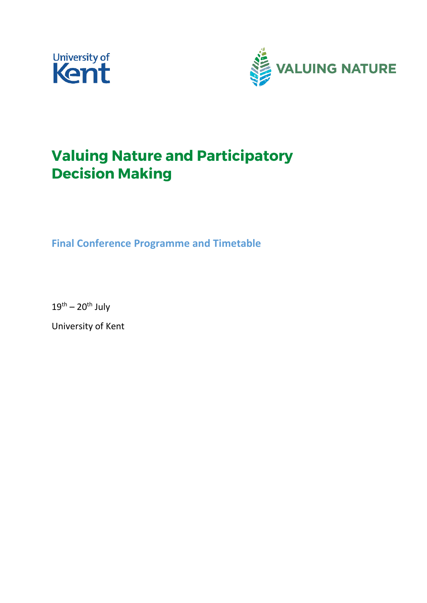



# **Valuing Nature and Participatory Decision Making**

**Final Conference Programme and Timetable**

 $19^{\text{th}} - 20^{\text{th}}$  July

University of Kent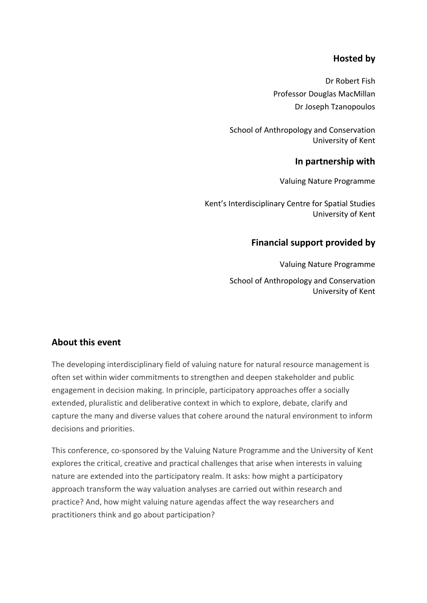# **Hosted by**

Dr Robert Fish Professor Douglas MacMillan Dr Joseph Tzanopoulos

School of Anthropology and Conservation University of Kent

### **In partnership with**

Valuing Nature Programme

Kent's Interdisciplinary Centre for Spatial Studies University of Kent

## **Financial support provided by**

Valuing Nature Programme School of Anthropology and Conservation University of Kent

## **About this event**

The developing interdisciplinary field of valuing nature for natural resource management is often set within wider commitments to strengthen and deepen stakeholder and public engagement in decision making. In principle, participatory approaches offer a socially extended, pluralistic and deliberative context in which to explore, debate, clarify and capture the many and diverse values that cohere around the natural environment to inform decisions and priorities.

This conference, co-sponsored by the Valuing Nature Programme and the University of Kent explores the critical, creative and practical challenges that arise when interests in valuing nature are extended into the participatory realm. It asks: how might a participatory approach transform the way valuation analyses are carried out within research and practice? And, how might valuing nature agendas affect the way researchers and practitioners think and go about participation?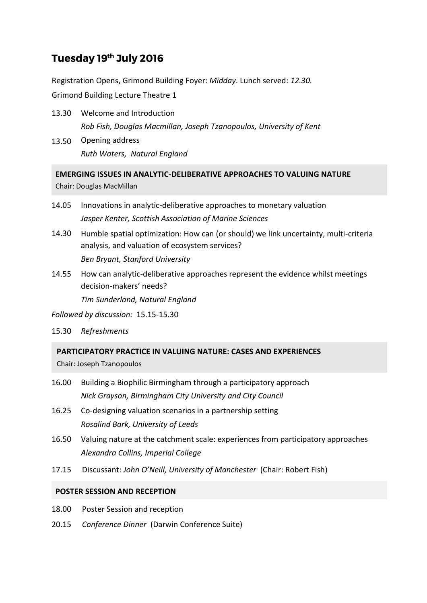# Tuesday 19th July 2016

Registration Opens, Grimond Building Foyer: *Midday*. Lunch served: *12.30.* 

Grimond Building Lecture Theatre 1

- 13.30 Welcome and Introduction *Rob Fish, Douglas Macmillan, Joseph Tzanopoulos, University of Kent*
- 13.50 Opening address *Ruth Waters, Natural England*

**EMERGING ISSUES IN ANALYTIC-DELIBERATIVE APPROACHES TO VALUING NATURE**  Chair: Douglas MacMillan

- 14.05 Innovations in analytic-deliberative approaches to monetary valuation *Jasper Kenter, Scottish Association of Marine Sciences*
- 14.30 Humble spatial optimization: How can (or should) we link uncertainty, multi-criteria analysis, and valuation of ecosystem services? *Ben Bryant, Stanford University*
- 14.55 How can analytic-deliberative approaches represent the evidence whilst meetings decision-makers' needs? *Tim Sunderland, Natural England*

*Followed by discussion:* 15.15-15.30

15.30 *Refreshments*

**PARTICIPATORY PRACTICE IN VALUING NATURE: CASES AND EXPERIENCES**

Chair: Joseph Tzanopoulos

- 16.00 Building a Biophilic Birmingham through a participatory approach *Nick Grayson, Birmingham City University and City Council*
- 16.25 Co-designing valuation scenarios in a partnership setting *Rosalind Bark, University of Leeds*
- 16.50 Valuing nature at the catchment scale: experiences from participatory approaches *Alexandra Collins, Imperial College*
- 17.15 Discussant: *John O'Neill, University of Manchester* (Chair: Robert Fish)

### **POSTER SESSION AND RECEPTION**

- 18.00 Poster Session and reception
- 20.15 *Conference Dinner* (Darwin Conference Suite)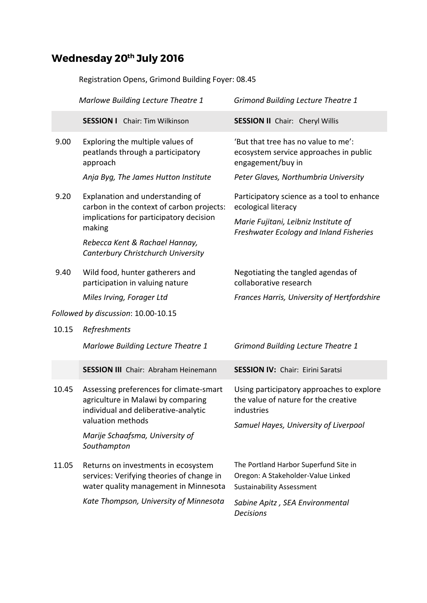# Wednesday 20<sup>th</sup> July 2016

Registration Opens, Grimond Building Foyer: 08.45

|                                     | Marlowe Building Lecture Theatre 1                                                                                                         | <b>Grimond Building Lecture Theatre 1</b>                                                                       |
|-------------------------------------|--------------------------------------------------------------------------------------------------------------------------------------------|-----------------------------------------------------------------------------------------------------------------|
|                                     | <b>SESSION I</b> Chair: Tim Wilkinson                                                                                                      | <b>SESSION II</b> Chair: Cheryl Willis                                                                          |
| 9.00                                | Exploring the multiple values of<br>peatlands through a participatory<br>approach                                                          | 'But that tree has no value to me':<br>ecosystem service approaches in public<br>engagement/buy in              |
|                                     | Anja Byg, The James Hutton Institute                                                                                                       | Peter Glaves, Northumbria University                                                                            |
| 9.20                                | Explanation and understanding of<br>carbon in the context of carbon projects:<br>implications for participatory decision<br>making         | Participatory science as a tool to enhance<br>ecological literacy                                               |
|                                     |                                                                                                                                            | Marie Fujitani, Leibniz Institute of<br>Freshwater Ecology and Inland Fisheries                                 |
|                                     | Rebecca Kent & Rachael Hannay,<br>Canterbury Christchurch University                                                                       |                                                                                                                 |
| 9.40                                | Wild food, hunter gatherers and<br>participation in valuing nature                                                                         | Negotiating the tangled agendas of<br>collaborative research                                                    |
|                                     | Miles Irving, Forager Ltd                                                                                                                  | Frances Harris, University of Hertfordshire                                                                     |
| Followed by discussion: 10.00-10.15 |                                                                                                                                            |                                                                                                                 |
| 10.15                               | Refreshments                                                                                                                               |                                                                                                                 |
|                                     | Marlowe Building Lecture Theatre 1                                                                                                         | <b>Grimond Building Lecture Theatre 1</b>                                                                       |
|                                     | <b>SESSION III</b> Chair: Abraham Heinemann                                                                                                | <b>SESSION IV: Chair: Eirini Saratsi</b>                                                                        |
| 10.45                               | Assessing preferences for climate-smart<br>agriculture in Malawi by comparing<br>individual and deliberative-analytic<br>valuation methods | Using participatory approaches to explore<br>the value of nature for the creative<br>industries                 |
|                                     | Marije Schaafsma, University of<br>Southampton                                                                                             | Samuel Hayes, University of Liverpool                                                                           |
| 11.05                               | Returns on investments in ecosystem<br>services: Verifying theories of change in<br>water quality management in Minnesota                  | The Portland Harbor Superfund Site in<br>Oregon: A Stakeholder-Value Linked<br><b>Sustainability Assessment</b> |
|                                     | Kate Thompson, University of Minnesota                                                                                                     | Sabine Apitz, SEA Environmental<br><b>Decisions</b>                                                             |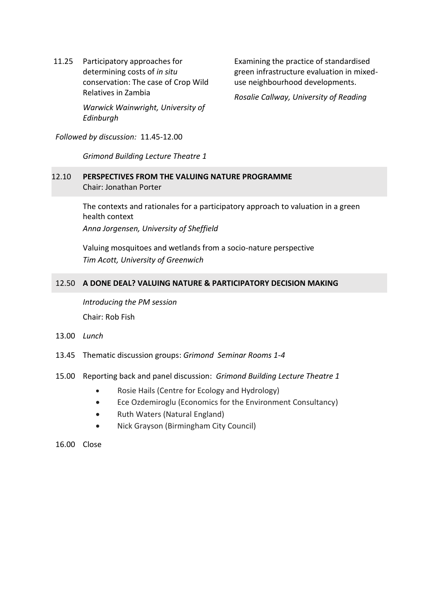11.25 Participatory approaches for determining costs of *in situ* conservation: The case of Crop Wild Relatives in Zambia *Warwick Wainwright, University of* 

*Edinburgh*

Examining the practice of standardised green infrastructure evaluation in mixeduse neighbourhood developments.

*Rosalie Callway, University of Reading*

*Followed by discussion:* 11.45-12.00

*Grimond Building Lecture Theatre 1*

### 12.10 **PERSPECTIVES FROM THE VALUING NATURE PROGRAMME**  Chair: Jonathan Porter

The contexts and rationales for a participatory approach to valuation in a green health context

*Anna Jorgensen, University of Sheffield*

Valuing mosquitoes and wetlands from a socio-nature perspective *Tim Acott, University of Greenwich*

### 12.50 **A DONE DEAL? VALUING NATURE & PARTICIPATORY DECISION MAKING**

*Introducing the PM session*  Chair: Rob Fish

- 13.00 *Lunch*
- 13.45 Thematic discussion groups: *Grimond Seminar Rooms 1-4*
- 15.00 Reporting back and panel discussion: *Grimond Building Lecture Theatre 1*
	- Rosie Hails (Centre for Ecology and Hydrology)
	- Ece Ozdemiroglu (Economics for the Environment Consultancy)
	- Ruth Waters (Natural England)
	- Nick Grayson (Birmingham City Council)

16.00 Close